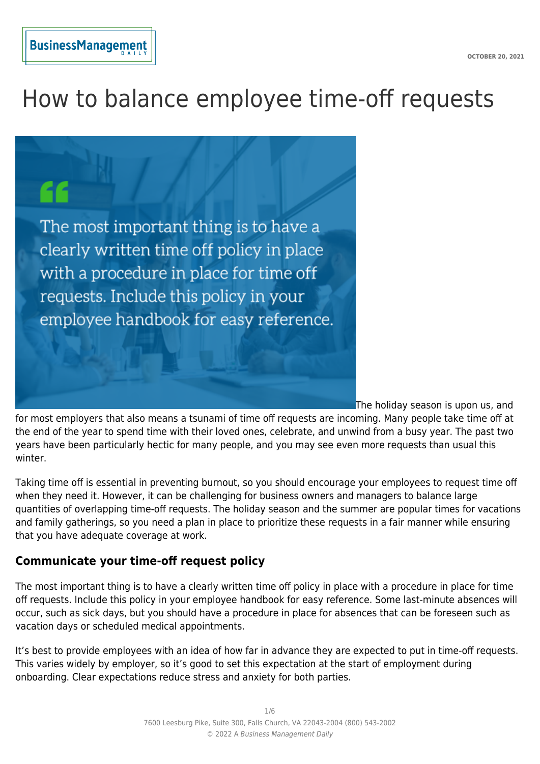# How to balance employee time-off requests



The holiday season is upon us, and

for most employers that also means a tsunami of time off requests are incoming. Many people take time off at the end of the year to spend time with their loved ones, celebrate, and unwind from a busy year. The past two years have been particularly hectic for many people, and you may see even more requests than usual this winter.

Taking time off is essential in preventing burnout, so you should encourage your employees to request time off when they need it. However, it can be challenging for business owners and managers to balance large quantities of overlapping time-off requests. The holiday season and the summer are popular times for vacations and family gatherings, so you need a plan in place to prioritize these requests in a fair manner while ensuring that you have adequate coverage at work.

## **Communicate your time-off request policy**

The most important thing is to have a clearly written time off policy in place with a procedure in place for time off requests. Include this policy in your employee handbook for easy reference. Some last-minute absences will occur, such as sick days, but you should have a procedure in place for absences that can be foreseen such as vacation days or scheduled medical appointments.

It's best to provide employees with an idea of how far in advance they are expected to put in time-off requests. This varies widely by employer, so it's good to set this expectation at the start of employment during onboarding. Clear expectations reduce stress and anxiety for both parties.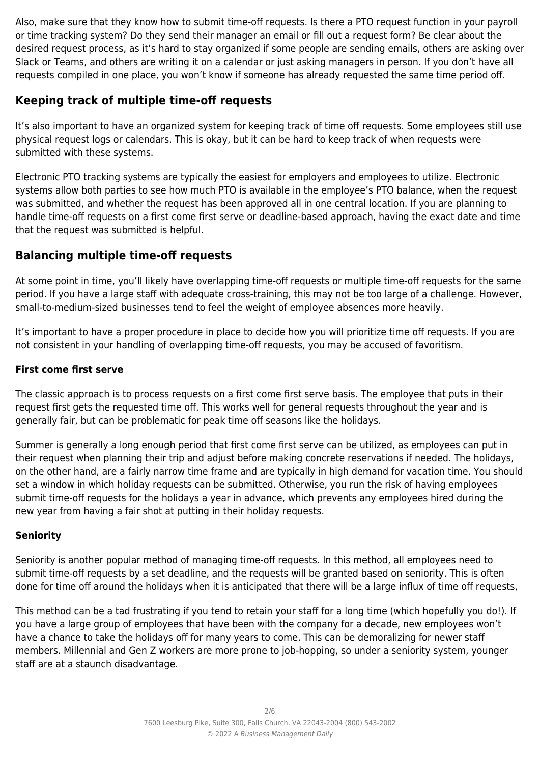Also, make sure that they know how to submit time-off requests. Is there a PTO request function in your payroll or time tracking system? Do they send their manager an email or fill out a request form? Be clear about the desired request process, as it's hard to stay organized if some people are sending emails, others are asking over Slack or Teams, and others are writing it on a calendar or just asking managers in person. If you don't have all requests compiled in one place, you won't know if someone has already requested the same time period off.

# **Keeping track of multiple time-off requests**

It's also important to have an organized system for keeping track of time off requests. Some employees still use physical request logs or calendars. This is okay, but it can be hard to keep track of when requests were submitted with these systems.

Electronic PTO tracking systems are typically the easiest for employers and employees to utilize. Electronic systems allow both parties to see how much PTO is available in the employee's PTO balance, when the request was submitted, and whether the request has been approved all in one central location. If you are planning to handle time-off requests on a first come first serve or deadline-based approach, having the exact date and time that the request was submitted is helpful.

## **Balancing multiple time-off requests**

At some point in time, you'll likely have overlapping time-off requests or multiple time-off requests for the same period. If you have a large staff with adequate cross-training, this may not be too large of a challenge. However, small-to-medium-sized businesses tend to feel the weight of employee absences more heavily.

It's important to have a proper procedure in place to decide how you will prioritize time off requests. If you are not consistent in your handling of overlapping time-off requests, you may be accused of favoritism.

#### **First come first serve**

The classic approach is to process requests on a first come first serve basis. The employee that puts in their request first gets the requested time off. This works well for general requests throughout the year and is generally fair, but can be problematic for peak time off seasons like the holidays.

Summer is generally a long enough period that first come first serve can be utilized, as employees can put in their request when planning their trip and adjust before making concrete reservations if needed. The holidays, on the other hand, are a fairly narrow time frame and are typically in high demand for vacation time. You should set a window in which holiday requests can be submitted. Otherwise, you run the risk of having employees submit time-off requests for the holidays a year in advance, which prevents any employees hired during the new year from having a fair shot at putting in their holiday requests.

## **Seniority**

Seniority is another popular method of managing time-off requests. In this method, all employees need to submit time-off requests by a set deadline, and the requests will be granted based on seniority. This is often done for time off around the holidays when it is anticipated that there will be a large influx of time off requests,

This method can be a tad frustrating if you tend to retain your staff for a long time (which hopefully you do!). If you have a large group of employees that have been with the company for a decade, new employees won't have a chance to take the holidays off for many years to come. This can be demoralizing for newer staff members. Millennial and Gen Z workers are more prone to job-hopping, so under a seniority system, younger staff are at a staunch disadvantage.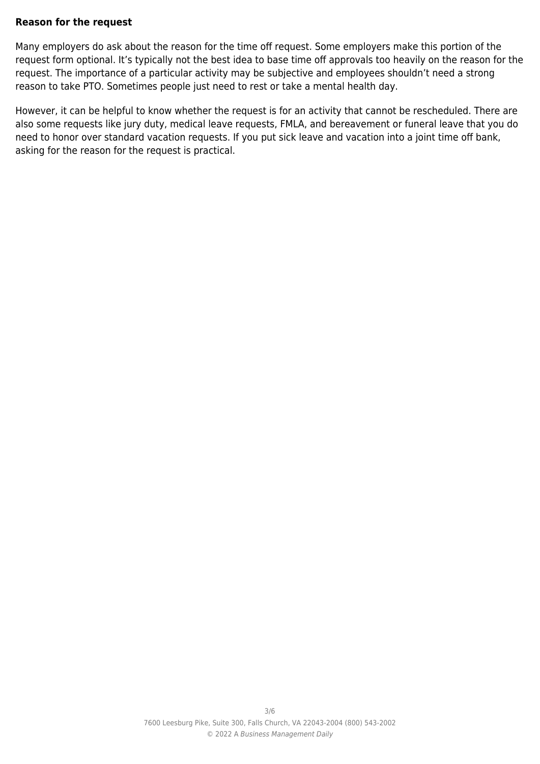#### **Reason for the request**

Many employers do ask about the reason for the time off request. Some employers make this portion of the request form optional. It's typically not the best idea to base time off approvals too heavily on the reason for the request. The importance of a particular activity may be subjective and employees shouldn't need a strong reason to take PTO. Sometimes people just need to rest or take a mental health day.

However, it can be helpful to know whether the request is for an activity that cannot be rescheduled. There are also some requests like jury duty, medical leave requests, FMLA, and bereavement or funeral leave that you do need to honor over standard vacation requests. If you put sick leave and vacation into a joint time off bank, asking for the reason for the request is practical.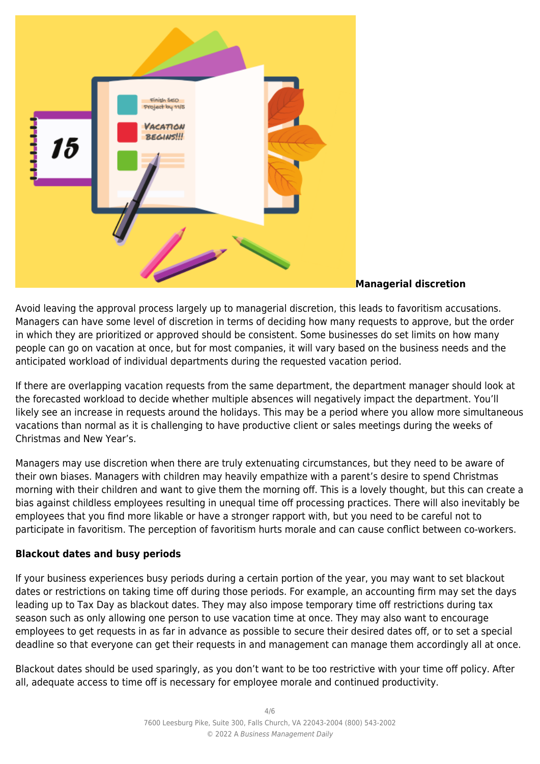

#### **Managerial discretion**

Avoid leaving the approval process largely up to managerial discretion, this leads to favoritism accusations. Managers can have some level of discretion in terms of deciding how many requests to approve, but the order in which they are prioritized or approved should be consistent. Some businesses do set limits on how many people can go on vacation at once, but for most companies, it will vary based on the business needs and the anticipated workload of individual departments during the requested vacation period.

If there are overlapping vacation requests from the same department, the department manager should look at the forecasted workload to decide whether multiple absences will negatively impact the department. You'll likely see an increase in requests around the holidays. This may be a period where you allow more simultaneous vacations than normal as it is challenging to have productive client or sales meetings during the weeks of Christmas and New Year's.

Managers may use discretion when there are truly extenuating circumstances, but they need to be aware of their own biases. Managers with children may heavily empathize with a parent's desire to spend Christmas morning with their children and want to give them the morning off. This is a lovely thought, but this can create a bias against childless employees resulting in unequal time off processing practices. There will also inevitably be employees that you find more likable or have a stronger rapport with, but you need to be careful not to participate in favoritism. The perception of favoritism hurts morale and can cause conflict between co-workers.

#### **Blackout dates and busy periods**

If your business experiences busy periods during a certain portion of the year, you may want to set blackout dates or restrictions on taking time off during those periods. For example, an accounting firm may set the days leading up to Tax Day as blackout dates. They may also impose temporary time off restrictions during tax season such as only allowing one person to use vacation time at once. They may also want to encourage employees to get requests in as far in advance as possible to secure their desired dates off, or to set a special deadline so that everyone can get their requests in and management can manage them accordingly all at once.

Blackout dates should be used sparingly, as you don't want to be too restrictive with your time off policy. After all, adequate access to time off is necessary for employee morale and continued productivity.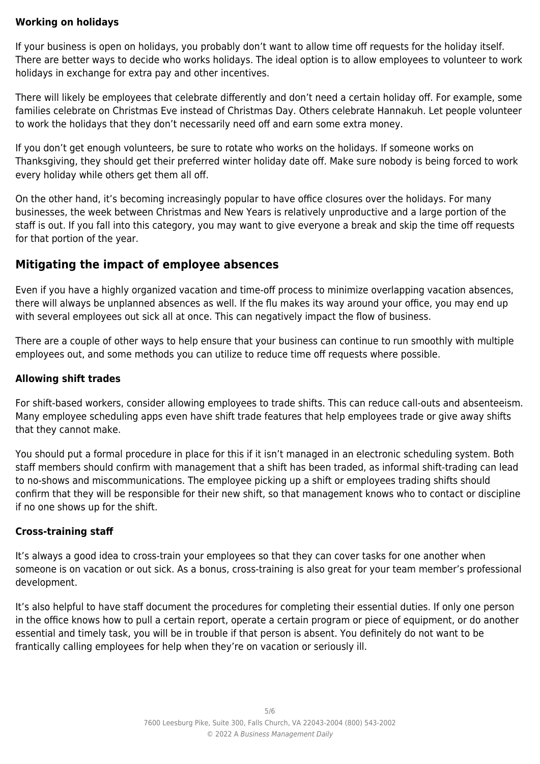#### **Working on holidays**

If your business is open on holidays, you probably don't want to allow time off requests for the holiday itself. There are better ways to decide who works holidays. The ideal option is to allow employees to volunteer to work holidays in exchange for extra pay and other incentives.

There will likely be employees that celebrate differently and don't need a certain holiday off. For example, some families celebrate on Christmas Eve instead of Christmas Day. Others celebrate Hannakuh. Let people volunteer to work the holidays that they don't necessarily need off and earn some extra money.

If you don't get enough volunteers, be sure to rotate who works on the holidays. If someone works on Thanksgiving, they should get their preferred winter holiday date off. Make sure nobody is being forced to work every holiday while others get them all off.

On the other hand, it's becoming increasingly popular to have office closures over the holidays. For many businesses, the week between Christmas and New Years is relatively unproductive and a large portion of the staff is out. If you fall into this category, you may want to give everyone a break and skip the time off requests for that portion of the year.

## **Mitigating the impact of employee absences**

Even if you have a highly organized vacation and time-off process to minimize overlapping vacation absences, there will always be unplanned absences as well. If the flu makes its way around your office, you may end up with several employees out sick all at once. This can negatively impact the flow of business.

There are a couple of other ways to help ensure that your business can continue to run smoothly with multiple employees out, and some methods you can utilize to reduce time off requests where possible.

#### **Allowing shift trades**

For shift-based workers, consider allowing employees to trade shifts. This can reduce call-outs and absenteeism. Many employee scheduling apps even have shift trade features that help employees trade or give away shifts that they cannot make.

You should put a formal procedure in place for this if it isn't managed in an electronic scheduling system. Both staff members should confirm with management that a shift has been traded, as informal shift-trading can lead to no-shows and miscommunications. The employee picking up a shift or employees trading shifts should confirm that they will be responsible for their new shift, so that management knows who to contact or discipline if no one shows up for the shift.

#### **Cross-training staff**

It's always a good idea to cross-train your employees so that they can cover tasks for one another when someone is on vacation or out sick. As a bonus, cross-training is also great for your team member's professional development.

It's also helpful to have staff document the procedures for completing their essential duties. If only one person in the office knows how to pull a certain report, operate a certain program or piece of equipment, or do another essential and timely task, you will be in trouble if that person is absent. You definitely do not want to be frantically calling employees for help when they're on vacation or seriously ill.